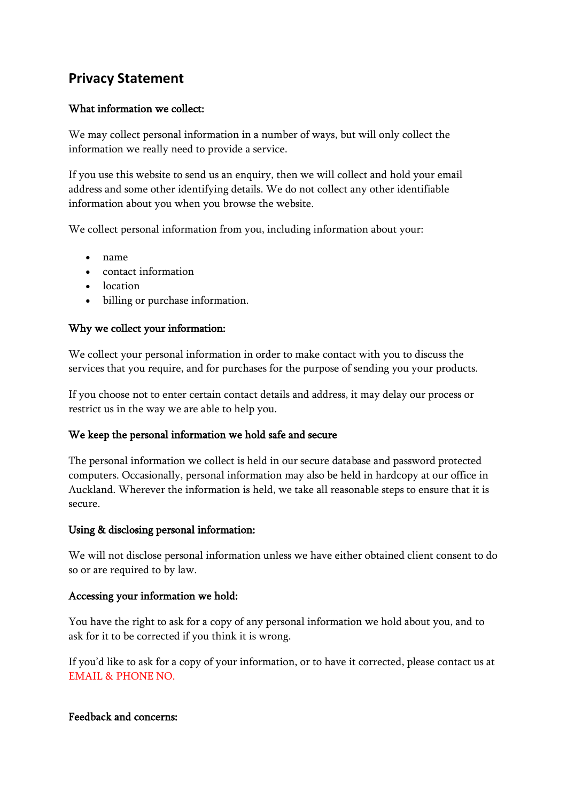## **Privacy Statement**

### What information we collect:

We may collect personal information in a number of ways, but will only collect the information we really need to provide a service.

If you use this website to send us an enquiry, then we will collect and hold your email address and some other identifying details. We do not collect any other identifiable information about you when you browse the website.

We collect personal information from you, including information about your:

- name
- contact information
- location
- billing or purchase information.

#### Why we collect your information:

We collect your personal information in order to make contact with you to discuss the services that you require, and for purchases for the purpose of sending you your products.

If you choose not to enter certain contact details and address, it may delay our process or restrict us in the way we are able to help you.

#### We keep the personal information we hold safe and secure

The personal information we collect is held in our secure database and password protected computers. Occasionally, personal information may also be held in hardcopy at our office in Auckland. Wherever the information is held, we take all reasonable steps to ensure that it is secure.

#### Using & disclosing personal information:

We will not disclose personal information unless we have either obtained client consent to do so or are required to by law.

#### Accessing your information we hold:

You have the right to ask for a copy of any personal information we hold about you, and to ask for it to be corrected if you think it is wrong.

If you'd like to ask for a copy of your information, or to have it corrected, please contact us at EMAIL & PHONE NO.

#### Feedback and concerns: